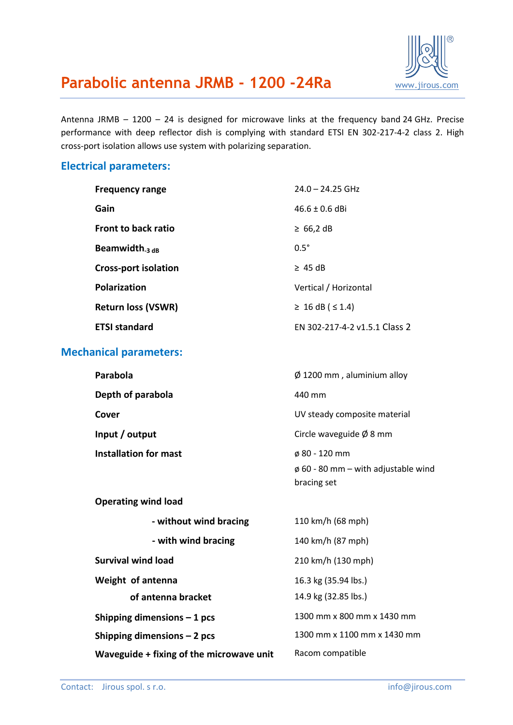

## Parabolic antenna JRMB - 1200 -24Ra **WW.jirous.com**

Antenna JRMB – 1200 – 24 is designed for microwave links at the frequency band 24 GHz. Precise performance with deep reflector dish is complying with standard ETSI EN 302-217-4-2 class 2. High cross-port isolation allows use system with polarizing separation.

#### **Electrical parameters:**

| <b>Frequency range</b>      | $24.0 - 24.25$ GHz            |
|-----------------------------|-------------------------------|
| Gain                        | $46.6 + 0.6$ dBi              |
| <b>Front to back ratio</b>  | $\geq 66,2$ dB                |
| Beamwidth $_3$ dB           | $0.5^\circ$                   |
| <b>Cross-port isolation</b> | $\geq$ 45 dB                  |
| <b>Polarization</b>         | Vertical / Horizontal         |
| <b>Return loss (VSWR)</b>   | $\geq 16$ dB ( $\leq 1.4$ )   |
| <b>ETSI standard</b>        | FN 302-217-4-2 v1.5.1 Class 2 |
|                             |                               |

### **Mechanical parameters:**

| Parabola              | $\emptyset$ 1200 mm, aluminium alloy     |
|-----------------------|------------------------------------------|
| Depth of parabola     | 440 mm                                   |
| Cover                 | UV steady composite material             |
| Input / output        | Circle waveguide $\emptyset$ 8 mm        |
| Installation for mast | $\phi$ 80 - 120 mm                       |
|                       | $\phi$ 60 - 80 mm – with adjustable wind |

bracing set

#### **Operating wind load**

| - without wind bracing                   | 110 km/h (68 mph)           |
|------------------------------------------|-----------------------------|
| - with wind bracing                      | 140 km/h (87 mph)           |
| Survival wind load                       | 210 km/h (130 mph)          |
| Weight of antenna                        | 16.3 kg (35.94 lbs.)        |
| of antenna bracket                       | 14.9 kg (32.85 lbs.)        |
| Shipping dimensions $-1$ pcs             | 1300 mm x 800 mm x 1430 mm  |
| Shipping dimensions $-2$ pcs             | 1300 mm x 1100 mm x 1430 mm |
| Waveguide + fixing of the microwave unit | Racom compatible            |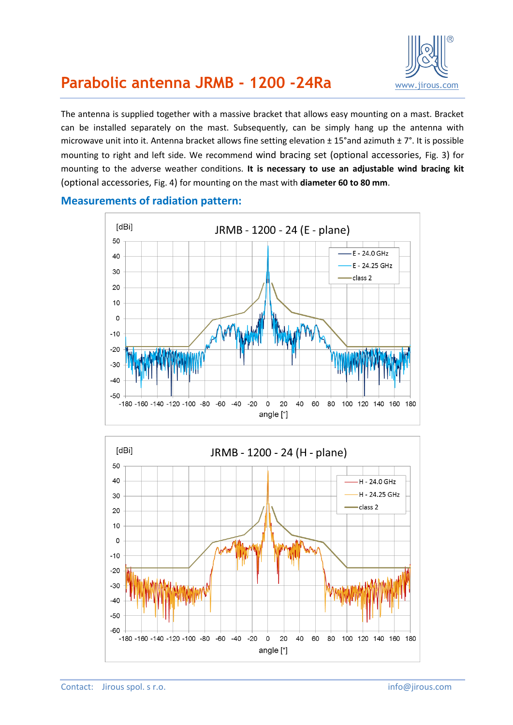

## **Parabolic antenna JRMB - 1200 -24Ra** [www.jirous.com](http://www.jirous.com/)

The antenna is supplied together with a massive bracket that allows easy mounting on a mast. Bracket can be installed separately on the mast. Subsequently, can be simply hang up the antenna with microwave unit into it. Antenna bracket allows fine setting elevation ± 15°and azimuth ± 7°. It is possible mounting to right and left side. We recommend wind bracing set (optional accessories, [Fig. 3](#page-3-0)) for mounting to the adverse weather conditions. **It is necessary to use an adjustable wind bracing kit** (optional accessories, [Fig. 4](#page-3-1)) for mounting on the mast with **diameter 60 to 80 mm**.



#### **Measurements of radiation pattern:**

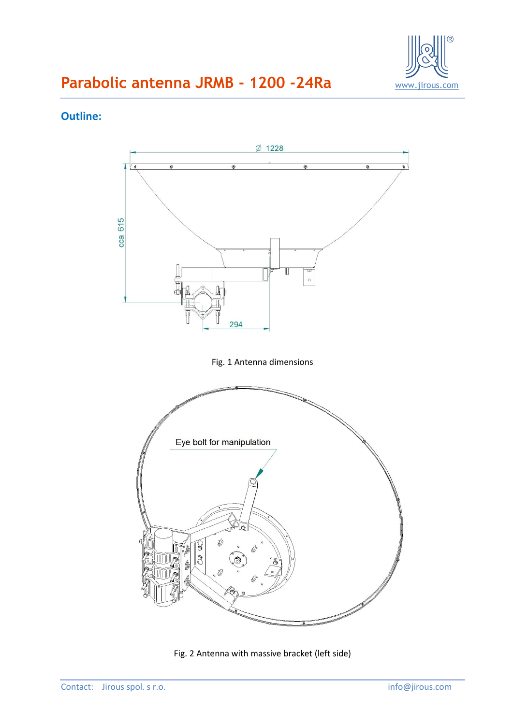

# **Parabolic antenna JRMB - 1200 -24Ra** WWW.jirous.com

### **Outline:**



Fig. 2 Antenna with massive bracket (left side)